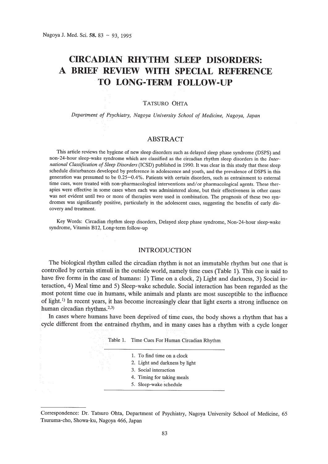# **cmCADIAN RHYTHM SLEEP DISORDERS: A BRIEF REVIEW WITH SPECIAL REFERENCE TO LONG-TERM FOLLOW-UP**

## TATSURO OHTA

*Department of Psychiatry, Nagoya University School of Medicine, Nagoya, Japan*

# ABSTRACT

This article reviews the hygiene of new sleep disorders such as delayed sleep phase syndrome (DSPS) and non-24-hour sleep-wake syndrome which are classified as the circadian rhythm sleep disorders in the *International Classification of Sleep Disorders* (ICSD) published in 1990. It was clear in this study that these sleep schedule disturbances developed by preference in adolescence and youth, and the prevalence of DSPS in this generation was presumed to be 0.25-0.4%. Patients with certain disorders, such as entrainment to external time cues, were treated with non-pharmacological interventions and/or pharmacological agents. These therapies were effective in some cases when each was administered alone, but their effectiveness in other cases was not evident until two or more of therapies were used in combination. The prognosis of these two syndromes was significantly positive, particularly in the adolescent cases, suggesting the benefits of early discovery and treatment.

Key Words: Circadian rhythm sleep disorders, Delayed sleep phase syndrome, Non-24-hour sleep-wake syndrome, Vitamin B12, Long-term follow-up

# INTRODUCTION

The biological rhythm called the circadian rhythm is not an immutable rhythm but one that is controlled by certain stimuli in the outside world, namely time cues (Table 1). This cue is said to have five forms in the case of humans: 1) Time on a clock, 2) Light and darkness, 3) Social interaction, 4) Meal time and 5) Sleep-wake schedule. Social interaction has been regarded as the most potent time cue in humans, while animals and plants are most susceptible to the influence of light.<sup>1)</sup> In recent years, it has become increasingly clear that light exerts a strong influence on human circadian rhythms.<sup>2,3)</sup>

In cases where humans have been deprived of time cues, the body shows a rhythm that has a cycle different from the entrained rhythm, and in many cases has a rhythm with a cycle longer

| Table 1. |  | Time Cues For Human Circadian Rhythm |  |
|----------|--|--------------------------------------|--|
|          |  |                                      |  |

| 1. To find time on a clock     |
|--------------------------------|
| 2. Light and darkness by light |
| 3. Social interaction          |
| 4. Timing for taking meals     |
| 5. Sleep-wake schedule         |

Correspondence: Dr. Tatsuro Ohta, Department of Psychiatry, Nagoya University School of Medicine, 65 Tsururna-cho, Showa-ku, Nagoya 466, Japan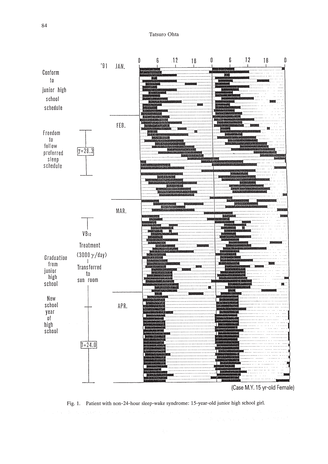

Fig. 1. Patient with non-24-hour sleep-wake syndrome: 15-year-old junior high school girl.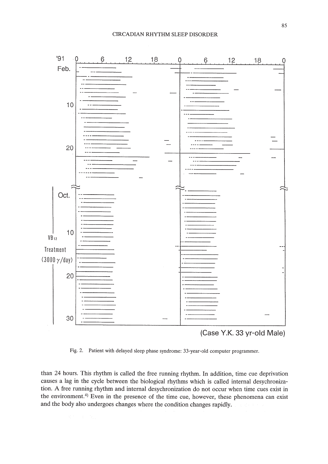

(Case Y.K. 33 yr-old Male)

Fig. 2. Patient with delayed sleep phase syndrome: 33-year-old computer programmer.

than 24 hours. This rhythm is called the free running rhythm. In addition, time cue deprivation causes a lag in the cycle between the biological rhythms which is called internal desychronization. A free running rhythm and internal desychronization do not occur when time cues exist in the environment.<sup> $4)$ </sup> Even in the presence of the time cue, however, these phenomena can exist and the body also undergoes changes where the condition changes rapidly.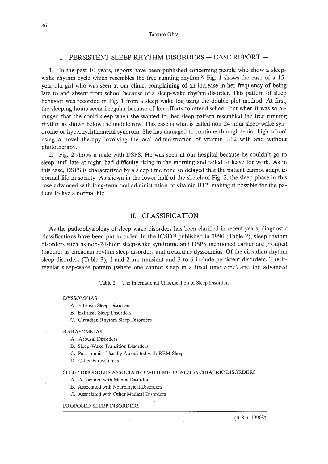# I. PERSISTENT SLEEP RHYTHM DISORDERS - CASE REPORT -

1. In the past 10 years, reports have been published concerning people who show a sleepwake rhythm cycle which resembles the free running rhythm.<sup>5)</sup> Fig. 1 shows the case of a 15year-old girl who was seen at our clinic, complaining of an increase in her frequency of being late to and absent from school because of a sleep-wake rhythm disorder. This pattern of sleep behavior was recorded in Fig. 1 from a sleep-wake log using the double-plot method. At first, the sleeping hours seem irregular because of her efforts to attend school, but when it was so arranged that she could sleep when she wanted to, her sleep pattern resembled the free running rhythm as shown below the middle row. This case is what is called non-24-hour sleep-wake syndrome or hypernychthemeral syndrom. She has managed to continue through senior high school using a novel therapy involving the oral administration of vitamin B12 with and without phototherapy.

2. Fig. 2 shows a male with DSPS. He was seen at our hospital because he couldn't go to sleep until late at night, had difficulty rising in the morning and failed to leave for work. As in this case, DSPS is characterized by a sleep time zone so delayed that the patient cannot adapt to normal life in society. As shown in the lower half of the sketch of Fig. 2, the sleep phase in this case advanced with long-term oral administration of vitamin B12, making it possible for the patient to live a normal life.

## II. CLASSIFICATION

As the pathophysiology of sleep-wake disorders has been clarified in recent years, diagnostic classifications have been put in order. In the  $\text{ICSD}^{6}$  published in 1990 (Table 2), sleep rhythm disorders such as non-24-hour sleep-wake syndrome and DSPS mentioned earlier are grouped together as circadian rhythm sleep disorders and treated as dyssomnias. Of the circadian rhythm sleep disorders (Table 3), 1 and 2 are transient and 3 to 6 include persistent disorders. The irregular sleep-wake pattern (where one cannot sleep in a fixed time zone) and the advanced

Table 2. The International Classification of Sleep Disorders

#### DYSSOMNIAS

- A. Intrinsic Sleep Disorders
- B. Extrinsic Sleep Disorders
- C. Circadian Rhythm Sleep Disorders

#### RARASOMNIAS

- A. Arousal Disorders
- B. Sleep-Wake Transition Disorders
- C. Parasomnias Usually Associated with REM Sleep
- D. Other Parasomnias

#### SLEEP DISORDERS ASSOCIATED WITH MEDICAL/PSYCHIATRIC DISORDERS

- A. Associated with Mental Disorders
- B. Associated with Neurological Disorders
- C. Associated with Other Medical Disorders

#### PROPOSED SLEEP DISORDERS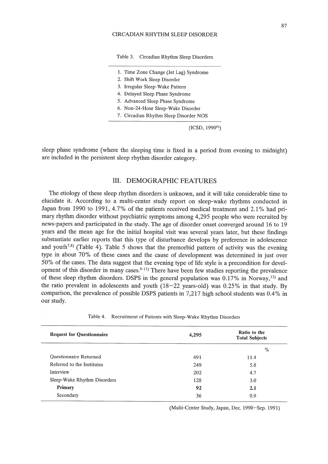#### CIRCADIAN RHYTHM SLEEP DISORDER

Table 3. Circadian Rhythm Sleep Disorders

- 1. Time Zone Change (Jet Lag) Syndrome
- 2. Shift Work Sleep Disorder
- 3. Irregular Sleep-Wake Pattern
- 4. Delayed Sleep Phase Syndrome
- 5. Advanced Sleep Phase Syndrome
- 6. Non-24-Hour Sleep-Wake Disorder
- 7. Circadian Rhythm Sleep Disorder NOS

 $(ICSD, 1990<sup>6</sup>)$ 

sleep phase syndrome (where the sleeping time is fixed in a period from evening to midnight) are included in the persistent sleep rhythm disorder category.

## **III.** DEMOGRAPHIC FEATURES

The etiology of these sleep rhythm disorders is unknown, and it will take considerable time to elucidate it. According to a multi-center study report on sleep-wake rhythms conducted in Japan from 1990 to 1991, 4.7% of the patients received medical treatment and 2.1% had primary rhythm disorder without psychiatric symptoms among 4,295 people who were recruited by news-papers and participated in the study. The age of disorder onset converged around 16 to 19 years and the mean age for the initial hospital visit was several years later, but these findings substantiate earlier reports that this type of disturbance develops by preference in adolescence and youth<sup>7,8)</sup> (Table 4). Table 5 shows that the premorbid pattern of activity was the evening type in about 70% of these cases and the cause of development was determined in just over 50% of the cases. The data suggest that the evening type of life style is a precondition for development of this disorder in many cases.  $9-11$  There have been few studies reporting the prevalence of these sleep rhythm disorders. DSPS in the general population was  $0.17\%$  in Norway,<sup>12)</sup> and the ratio prevalent in adolescents and youth (18-22 years-old) was 0.25% in that study. By comparison, the prevalence of possible DSPS patients in 7,217 high school students was 0.4% in our study.

| <b>Request for Questionnaire</b> | 4,295 | Ratio to the<br><b>Total Subjects</b> |  |
|----------------------------------|-------|---------------------------------------|--|
|                                  |       | $\%$                                  |  |
| Questionnaire Returned           | 491   | 11.4                                  |  |
| Referred to the Institutes       | 249   | 5.8                                   |  |
| Interview                        | 202   | 4.7                                   |  |
| Sleep-Wake Rhythm Disorders      | 128   | 3.0                                   |  |
| Primary                          | 92    | 2.1                                   |  |
| Secondary                        | 36    | 0.9                                   |  |

Table 4. Recruitment of Patients with Sleep-Wake Rhythm Disorders

(Multi-Center Study, Japan, Dec. 1990-Sep. 1991)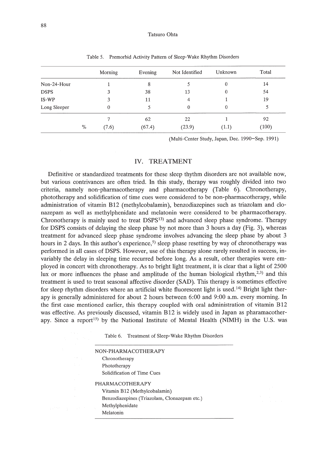#### Tatsuro Ohta

|              |      | Morning | Evening | Not Identified | Unknown | Total |
|--------------|------|---------|---------|----------------|---------|-------|
| Non-24-Hour  |      |         | 8       |                | 0       | 14    |
| <b>DSPS</b>  |      |         | 38      | 13             | 0       | 54    |
| IS-WP        |      | 3       | 11      | 4              |         | 19    |
| Long Sleeper |      | 0       |         | 0              | 0       |       |
|              |      |         | 62      | 22             |         | 92    |
|              | $\%$ | (7.6)   | (67.4)  | (23.9)         | (1.1)   | (100) |

Table 5. Premorbid Activity Pattern of Sleep-Wake Rhythm Disorders

(Multi-Center Study, Japan, Dec. 1990-Sep. 1991)

# IV. TREATMENT

Definitive or standardized treatments for these sleep thythm disorders are not available now, but various contrivances are often tried. **In** this study, therapy was roughly divided into two criteria, namely non-pharmacotherapy and pharmacotherapy (Table 6). Chronotherapy, phototherapy and solidification of time cues were considered to be non-pharmacotherapy, while administration of vitamin B12 (methylcobalamin), benzodiazepines such as triazolam and clonazepam as well as methylphenidate and melatonin were considered to be pharmacotherapy. Chronotherapy is mainly used to treat DSPSI3) and advanced sleep phase syndrome. Therapy for DSPS consists of delaying the sleep phase by not more than 3 hours a day (Fig. 3), whereas treatment for advanced sleep phase syndrome involves advancing the sleep phase by about 3 hours in 2 days. In this author's experience,<sup>5)</sup> sleep phase resetting by way of chronotherapy was performed in all cases of DSPS. However, use of this therapy alone rarely resulted in success, invariably the delay in sleeping time recurred before long. As a result, other therapies were employed in concert with chronotherapy. As to bright light treatment, it is clear that a light of 2500 lux or more influences the phase and amplitude of the human biological rhythm, $2,3$ ) and this treatment is used to treat seasonal affective disorder (SAD). This therapy is sometimes effective for sleep rhythm disorders where an artificial white fluorescent light is used.<sup>14)</sup> Bright light therapy is generally administered for about 2 hours between 6:00 and 9:00 a.m. every morning. **In** the first case mentioned earlier, this therapy coupled with oral administration of vitamin B12 was effective. As previously discussed, vitamin B12 is widely used in Japan as pharamacotherapy. Since a report<sup>15</sup> by the National Institute of Mental Health (NIMH) in the U.S. was

Table 6. Treatment of Sleep-Wake Rhythm Disorders

| NON-PHARMACOTHER APY                         |
|----------------------------------------------|
| Chronotherapy                                |
| Phototherapy                                 |
| Solidification of Time Cues                  |
| PHARMACOTHERAPY                              |
| Vitamin B12 (Methylcobalamin)                |
| Benzodiazepines (Triazolam, Clonazepam etc.) |
| Methylphenidate                              |
| Melatonin                                    |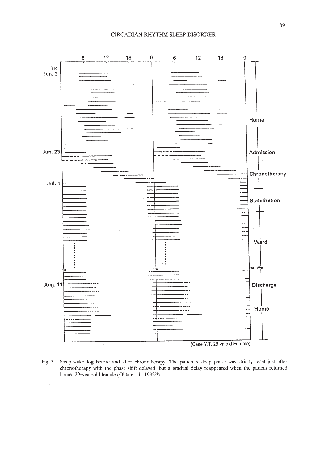#### CIRCADIAN RHYTHM SLEEP DISORDER



Fig. 3. Sleep-wake log before and after chronotherapy. The patient's sleep phase was strictly reset just after chronotherapy with the phase shift delayed, but a gradual delay reappeared when the patient returned home: 29-year-old female (Ohta et al., 1992<sup>5)</sup>)

89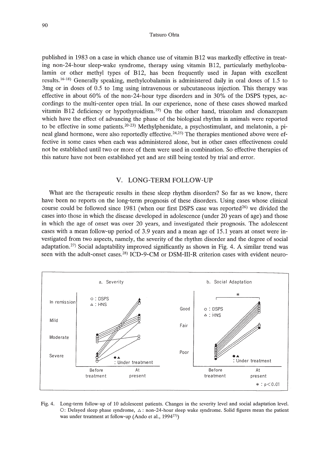### Tatsuro Ohta

published in 1983 on a case in which chance use of vitamin B12 was markedly effective in treating non-24-hour sleep-wake syndrome, therapy using vitamin B12, particularly methylcobalamin or other methyl types of B12, has been frequently used in Japan with excellent results. 16- 18) Generally speaking, methylcobalamin is administered daily in oral doses of 1.5 to 3mg or in doses of 0.5 to Img using intravenous or subcutaneous injection. This therapy was effective in about 60% of the non-24-hour type disorders and in 30% of the DSPS types, accordings to the multi-center open trial. In our experience, none of these cases showed marked vitamin B12 deficiency or hypothyroidism. 19) On the other hand, triazolam and clonazepam which have the effect of advancing the phase of the biological rhythm in animals were reported to be effective in some patients.<sup>20-23</sup>) Methylphenidate, a psychostimulant, and melatonin, a pineal gland hormone, were also reportedly effective.<sup>24,25)</sup> The therapies mentioned above were effective in some cases when each was administered alone, but in other cases effectiveness could not be established until two or more of them were used in combination. So effective therapies of this nature have not been established yet and are still being tested by trial and error.

# V. LONG-TERM FOLLOW-UP

What are the therapeutic results in these sleep rhythm disorders? So far as we know, there have been no reports on the long-term prognosis of these disorders. Using cases whose clinical course could be followed since  $1981$  (when our first DSPS case was reported<sup>26)</sup> we divided the cases into those in which the disease developed in adolescence (under 20 years of age) and those in which the age of onset was over 20 years, and investigated their prognosis. The adolescent cases with a mean follow-up period of 3.9 years and a mean age of 15.1 years at onset were investigated from two aspects, namely, the severity of the rhythm disorder and the degree of social adaptation.<sup>27)</sup> Social adaptability improved significantly as shown in Fig. 4. A similar trend was seen with the adult-onset cases.<sup>28)</sup> ICD-9-CM or DSM-III-R criterion cases with evident neuro-



Fig. 4. Long-term follow-up of 10 adolescent patients. Changes in the severity level and social adaptation level. O: Delayed sleep phase syndrome,  $\Delta$ : non-24-hour sleep wake syndrome. Solid figures mean the patient was under treatment at follow-up (Ando et al.,  $1994^{27}$ )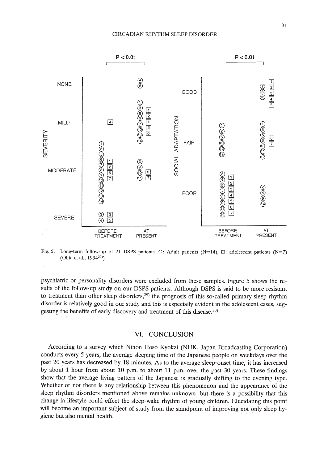

Fig. 5. Long-term follow-up of 21 DSPS patients. O: Adult patients (N=14),  $\Box$ : adolescent patients (N=7) (Ohta et al., 1994<sup>30)</sup>)

psychiatric or personality disorders were excluded from these samples. Figure 5 shows the results of the follow-up study on our DSPS patients. Although DSPS is said to be more resistant to treatment than other sleep disorders, $29$ ) the prognosis of this so-called primary sleep rhythm disorder is relatively good in our study and this is especially evident in the adolescent cases, suggesting the benefits of early discovery and treatment of this disease.3D)

# VI. CONCLUSION

According to a survey which Nihon Hoso Kyokai (NHK, Japan Broadcasting Corporation) conducts every 5 years, the average sleeping time of the Japanese people on weekdays over the past 20 years has decreased by 18 minutes. As to the average sleep-onset time, it has increased by about 1 hour from about 10 p.m. to about 11 p.m. over the past 30 years. These findings show that the average living pattern of the Japanese is gradually shifting to the evening type. Whether or not there is any relationship between this phenomenon and the appearance of the sleep rhythm disorders mentioned above remains unknown, but there is a possibility that this change in lifestyle could effect the sleep-wake rhythm of young children. Elucidating this point will become an important subject of study from the standpoint of improving not only sleep hygiene but also mental health.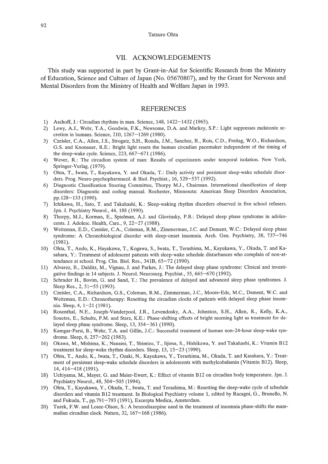#### Tatsuro Ohta

## VII. ACKNOWLEDGEMENTS

This study was supported in part by Grant-in-Aid for Scientific Research from the Ministry of Education, Science and Culture of Japan (No. 05670807), and by the Grant for Nervous and Mental Disorders from the Ministry of Health and Welfare Japan in 1993.

## REFERENCES

- 1) Aschoff, J.: Circadian rhythms in man. Science, 148, 1422-1432 (1965).
- 2) Lewy, AJ., Wehr, TA, Goodwin, F.K., Newsome, D.A and Markey, S.P.: Light suppresses melatonin secretion in humans. Science, 210,1267-1269 (1980).
- 3) Czeisler, e.A, Allen, J.S., Strogatz, S.H., Ronda, J.M., Sanchez, R., Rois, e.D., Freitag, W.O., Richardson, G.S. and Knonauer, R.E.: Bright light resets the human circadian pacemaker independent of the timing of the sleep-wake cycle. Science, 223, 667-671 (1986).
- 4) Wever, R.: The circadion system of man: Results of experiments under temporal isolation. New York, Springer-Verlag, (1979).
- 5) Ohta, T., Iwata, T., Kayukawa, Y. and Okada, T.: Daily activity and persistent sleep-wake schedule disorders. Prog. Neuro-psychopharmacol. & Biol. Psychiat., 16, 529-537 (1992).
- 6) Diagnostic Classification Steering Committee, Thorpy M.J., Chairman. International classification of sleep disorders: Diagnostic and coding manual. Rochester, Minnesota: American Sleep Disorders Association, pp.128-133 (1990).
- 7) Ichikawa, H., Sato, T and Takahashi, K.: Sleep-waking rhythm disorders observed in five school refusers. Jpn. J. Psychiatry Neurol., 44, 188 (1990).
- 8) Thorpy, M.J., Korman, E., Spielman, A.J. and Glovinsky, P.B.: Delayed sleep phase syndrome in adolescents. J. Adolesc. Health, Care., 9, 22-27 (1988).
- 9) Weitzman, E.D., Czeisler, C.A., Coleman, R.M., Zimmerman, J.C. and Dement, W.C.: Delayed sleep phase syndrome: A Chronobiological disorder with sleep-onset insomnia. Arch. Gen. Psychiatry, 38, 737-746 (1981).
- 10) Ohta, T., Ando, K., Hayakawa, T., Kogawa, S., Iwata, T., Terashima, M., Kayukawa, Y., Okada, T. and Kasahara, Y.: Treatment of adolescent patients with sleep-wake schedule disturbances who complain of non-attendance at school. Prog. Clin. BioI. Res., 341B, 65-72 (1990).
- 11) Alvarez, B., Dahlitz, M., Vignau, J. and Parkes, J.: The delayed sleep phase syndrome: Clinical and investigative findings in 14 subjects. 1. Neurol. Neurosurg. Psychiat., 55, 665-670 (1992).
- 12) Schrader H., Bovim, G. and Sand, T: The prevalence of delayed and advanced sleep phase syndromes. J. Sleep Res., 2, 51-55 (1993).
- 13) Czeisler, C.A., Richardson, G.S., Coleman, R.M., Zimmerman, J.C., Moore-Ede, M.C., Dement, W.C. and Weitzman, E.D.: Chronotherapy: Resetting the circadian clocks of patients with delayed sleep phase insomnia. Sleep, 4,1-21 (1981).
- 14) Rosenthal, N.E., Joseph-Vanderpool, J.R., Levendosky, AA, Johnston, S.H., Allen, R., Kelly, K.A, Souetre, E., Schultz, P.M. and Starz, K.E.: Phase-shifting effects of bright morning light as treatment for delayed sleep phase syndrome. Sleep, 13, 354-361 (1990).
- 15) Kamgar-Parsi, B., Wehr, T.A. and Gillin, J.C.: Successful treatment of human non-24-hour sleep-wake syndrome. Sleep, 6, 257-262 (1983).
- 16) Okawa, M., Mishima, K., Nanami, T., Shimizu, T., Iijima, S., Hishikawa, Y. and Takahashi, K.: Vitamin B12 treatment for sleep-wake rhythm disorders. Sleep, 13, 15-23 (1990).
- 17) Ohta, T., Ando, K., Iwata, T., Ozaki, N., Kayukawa, Y., Terashima, M., Okada, T and Kasahara, Y.: Treatment of persistent sleep-wake schedule disorders in adolescents with methylcobalamin (Vitamin B12). Sleep, 14,414-418 (1991).
- 18) Uchiyama, M., Mayer, G. and Meier-Ewert, K.: Effect of vitamin B12 on circadian body temperature. Jpn. J. Psychiatry Neurol., 48, 504-505 (1994).
- 19) Ohta, T, Kayukawa, Y., Okada, T., Iwata, T and Terashima, M.: Resetting the sleep-wake cycle of schedule disorders and vitamin B12 treatment. In Biological Psychiatry volume 1, edited by Racagni, G., Brunello, N. and Fukuda, T., pp.791-793 (1991), Excerpta Medica, Amsterdam.
- 20) Turek, F.W. and Losee-Olson, S.: A benzodiazepine used in the treatment of insomnia phase-shifts the mammalian circadian clock. Nature, 32, 167-168 (1986).